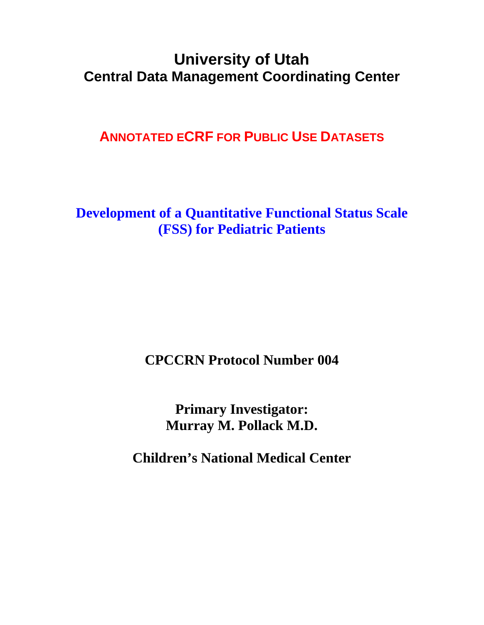# **University of Utah Central Data Management Coordinating Center**

# **ANNOTATED ECRF FOR PUBLIC USE DATASETS**

**Development of a Quantitative Functional Status Scale (FSS) for Pediatric Patients** 

**CPCCRN Protocol Number 004** 

**Primary Investigator: Murray M. Pollack M.D.** 

**Children's National Medical Center**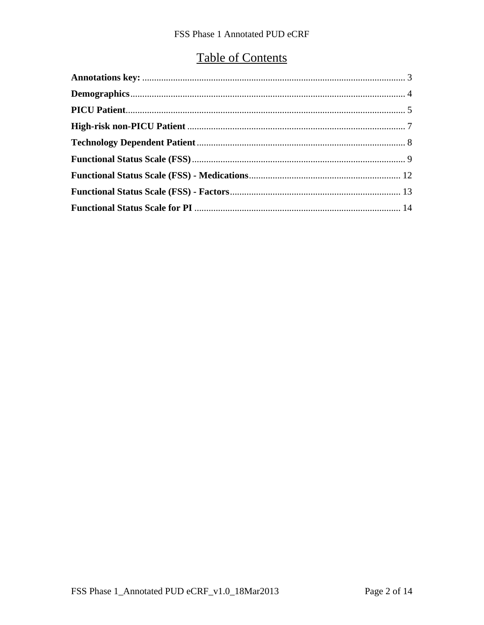# **Table of Contents**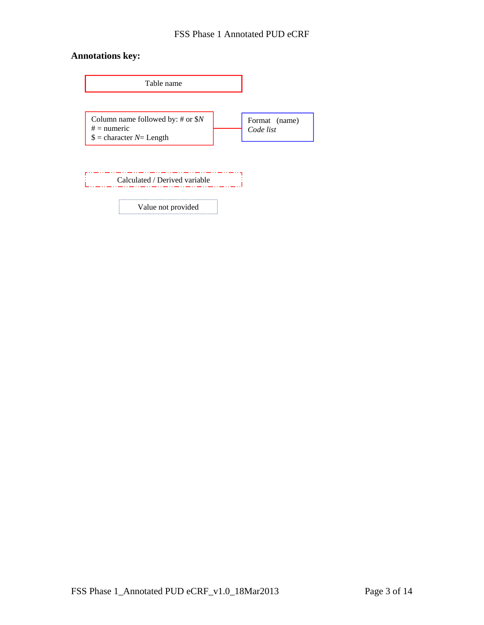## **Annotations key:**

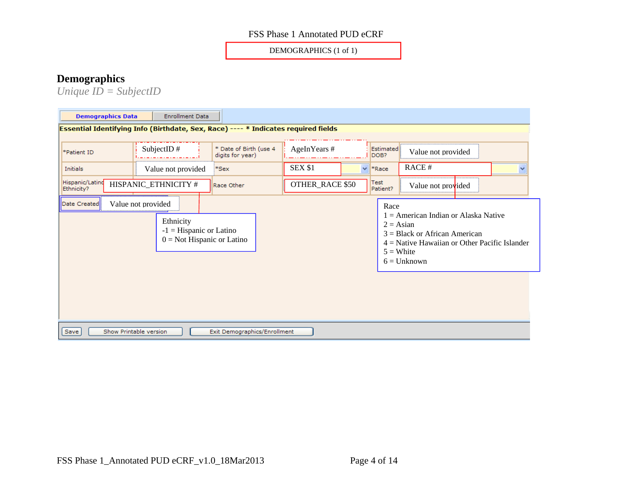DEMOGRAPHICS (1 of 1)

# **Demographics**

*Unique ID = SubjectID*

| <b>Demographics Data</b>                                                           |                        | <b>Enrollment Data</b> |                                            |                 |              |                            |                                                                                                                                               |   |
|------------------------------------------------------------------------------------|------------------------|------------------------|--------------------------------------------|-----------------|--------------|----------------------------|-----------------------------------------------------------------------------------------------------------------------------------------------|---|
| Essential Identifying Info (Birthdate, Sex, Race) ---- * Indicates required fields |                        |                        |                                            |                 |              |                            |                                                                                                                                               |   |
| *Patient ID                                                                        | SubjectID#             |                        | * Date of Birth (use 4<br>digits for year) | AgeInYears #    |              | Estimated<br>DOB?          | Value not provided                                                                                                                            |   |
| Initials                                                                           | Value not provided     |                        | *Sex                                       | <b>SEX \$1</b>  | $\checkmark$ | $*$ Race                   | RACE#                                                                                                                                         | v |
| Hispanic/Latino<br>Ethnicity?                                                      | HISPANIC_ETHNICITY #   |                        | Race Other                                 | OTHER_RACE \$50 |              | Test<br>Patient?           | Value not provided                                                                                                                            |   |
| Date Created                                                                       | Value not provided     |                        |                                            |                 |              | Race                       |                                                                                                                                               |   |
| Ethnicity<br>$-1$ = Hispanic or Latino<br>$0 = Not Hispanic or Latino$             |                        |                        |                                            |                 |              | $2 = Asian$<br>$5 =$ White | $1 =$ American Indian or Alaska Native<br>$3 = Black$ or African American<br>$4$ = Native Hawaiian or Other Pacific Islander<br>$6 =$ Unknown |   |
|                                                                                    |                        |                        |                                            |                 |              |                            |                                                                                                                                               |   |
| Save                                                                               | Show Printable version |                        | Exit Demographics/Enrollment               |                 |              |                            |                                                                                                                                               |   |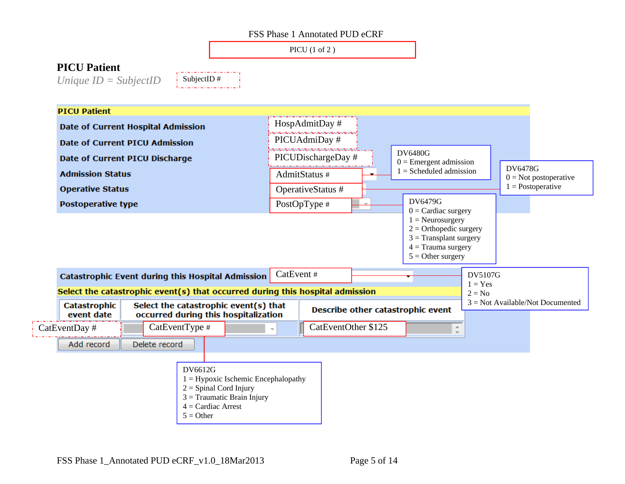PICU (1 of 2 )

# **PICU Patient**

*Unique ID = SubjectID*

<u> 2002 - 2003 - 2004 - 20</u> SubjectID #

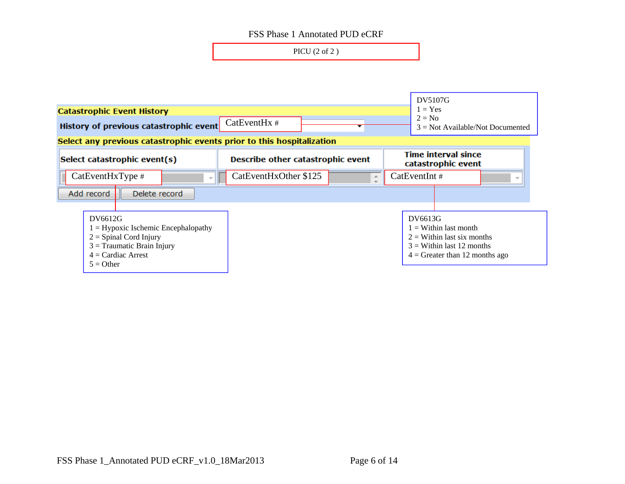PICU (2 of 2 )

| <b>Catastrophic Event History</b>                                                                                                                   |                                   |   | DV5107G<br>$1 = Yes$<br>$2 = No$                                                                                                      |                                    |
|-----------------------------------------------------------------------------------------------------------------------------------------------------|-----------------------------------|---|---------------------------------------------------------------------------------------------------------------------------------------|------------------------------------|
| History of previous catastrophic event                                                                                                              | $CatEventHx \#$                   |   |                                                                                                                                       | $3 = Not Available/Not Documented$ |
| Select any previous catastrophic events prior to this hospitalization                                                                               |                                   |   |                                                                                                                                       |                                    |
| Select catastrophic event(s)                                                                                                                        | Describe other catastrophic event |   | <b>Time interval since</b><br>catastrophic event                                                                                      |                                    |
| CatEventHxType #<br>$\mathcal{C}$                                                                                                                   | CatEventHxOther \$125             | 止 | CatEventInt#                                                                                                                          | $\overline{\phantom{a}}$           |
| Add record<br>Delete record                                                                                                                         |                                   |   |                                                                                                                                       |                                    |
| DV6612G<br>$1 =$ Hypoxic Ischemic Encephalopathy<br>$2 =$ Spinal Cord Injury<br>$3 =$ Traumatic Brain Injury<br>$4 =$ Cardiac Arrest<br>$5 =$ Other |                                   |   | DV6613G<br>$1 =$ Within last month<br>$2 =$ Within last six months<br>$3$ = Within last 12 months<br>$4 =$ Greater than 12 months ago |                                    |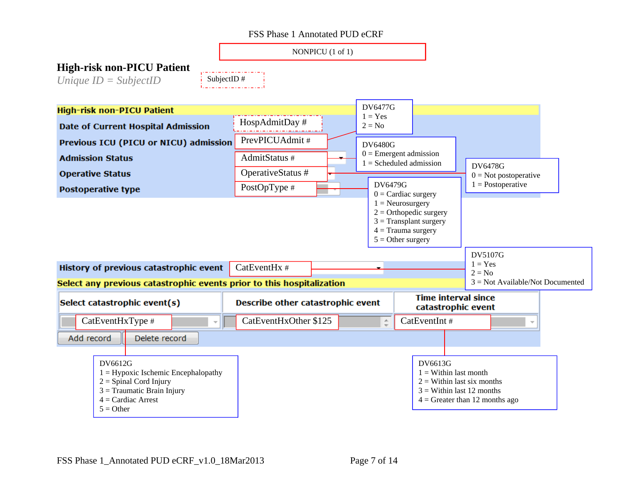

# **High-risk non-PICU Patient**

*Unique ID = SubjectID*  $\qquad \qquad$   $\qquad \qquad$  SubjectID #

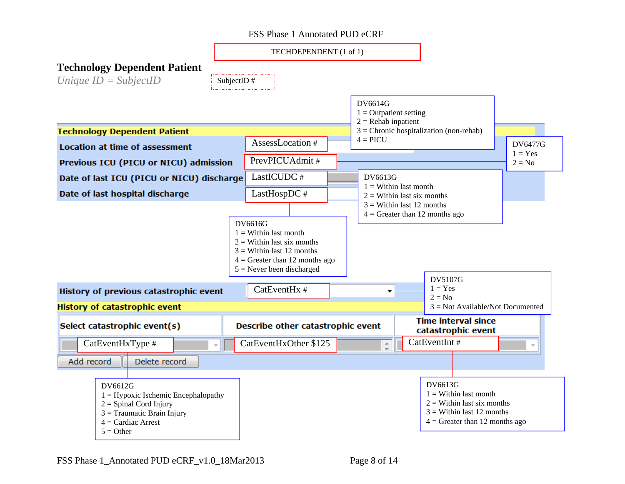

FSS Phase 1\_Annotated PUD eCRF\_v1.0\_18Mar2013 Page 8 of 14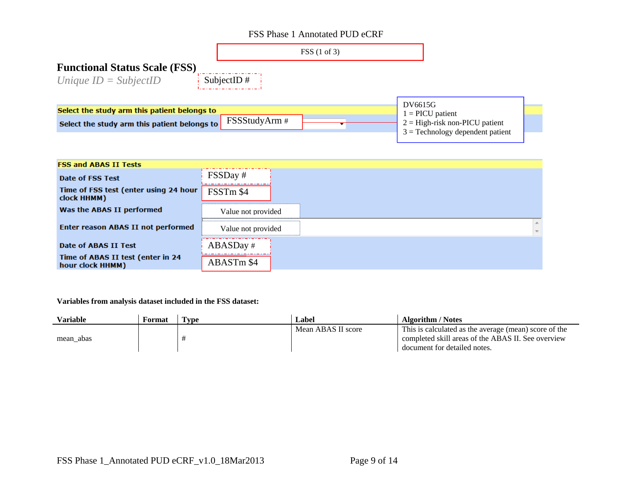

| <b>FSS and ABAS II Tests</b>                          |                    |
|-------------------------------------------------------|--------------------|
| Date of FSS Test                                      | FSSDay #           |
| Time of FSS test (enter using 24 hour<br>clock HHMM)  | FSSTm \$4          |
| Was the ABAS II performed                             | Value not provided |
| Enter reason ABAS II not performed                    | Value not provided |
| Date of ABAS II Test                                  | ABASDay #          |
| Time of ABAS II test (enter in 24<br>hour clock HHMM) | ABASTm\$4          |

### **Variables from analysis dataset included in the FSS dataset:**

| Variable  | Format | 'vpe | Label              | <b>Algorithm</b> / Notes                                                                                                                    |
|-----------|--------|------|--------------------|---------------------------------------------------------------------------------------------------------------------------------------------|
| mean abas |        |      | Mean ABAS II score | This is calculated as the average (mean) score of the<br>completed skill areas of the ABAS II. See overview<br>document for detailed notes. |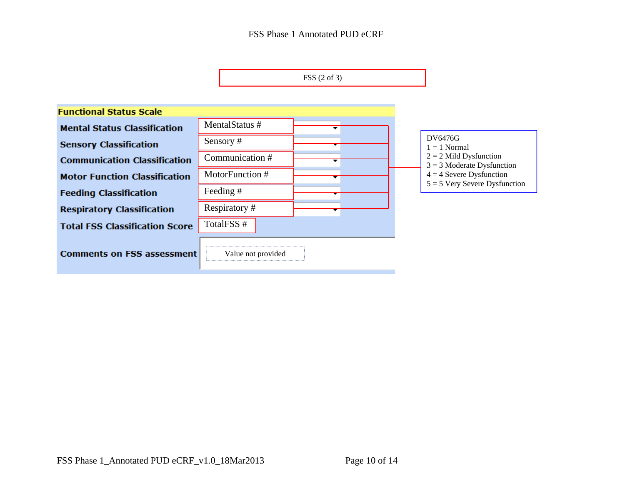FSS (2 of 3)

| <b>Functional Status Scale</b>        |                    |   |                                                               |
|---------------------------------------|--------------------|---|---------------------------------------------------------------|
| <b>Mental Status Classification</b>   | MentalStatus #     | ▼ |                                                               |
| <b>Sensory Classification</b>         | Sensory#           |   | DV6476G<br>$1 \equiv 1$ Normal                                |
| <b>Communication Classification</b>   | Communication #    |   | $2 = 2$ Mild Dysfunction<br>$3 = 3$ Moderate Dysfunction      |
| <b>Motor Function Classification</b>  | MotorFunction #    |   | $4 = 4$ Severe Dysfunction<br>$5 = 5$ Very Severe Dysfunction |
| <b>Feeding Classification</b>         | Feeding #          |   |                                                               |
| <b>Respiratory Classification</b>     | Respiratory#       |   |                                                               |
| <b>Total FSS Classification Score</b> | TotalFSS#          |   |                                                               |
| <b>Comments on FSS assessment</b>     | Value not provided |   |                                                               |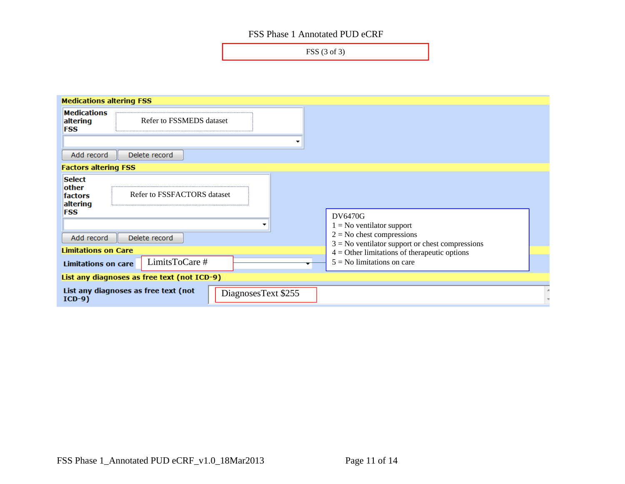FSS (3 of 3)

| <b>Medications altering FSS</b>                                                                    |                                                                       |
|----------------------------------------------------------------------------------------------------|-----------------------------------------------------------------------|
| <b>Medications</b><br>Refer to FSSMEDS dataset<br>altering<br><b>FSS</b>                           |                                                                       |
| ▼                                                                                                  |                                                                       |
| Delete record<br>Add record                                                                        |                                                                       |
| <b>Factors altering FSS</b>                                                                        |                                                                       |
| <b>Select</b><br><b>lother</b><br>Refer to FSSFACTORS dataset<br>factors<br>altering<br><b>FSS</b> | DV6470G<br>$1 = No$ ventilator support<br>$2 = No$ chest compressions |
| Add record<br>Delete record                                                                        | $3 = No$ ventilator support or chest compressions                     |
| <b>Limitations on Care</b>                                                                         | $4 =$ Other limitations of the rapeutic options                       |
| LimitsToCare#<br><b>Limitations on care</b>                                                        | $5 =$ No limitations on care                                          |
| List any diagnoses as free text (not ICD-9)                                                        |                                                                       |
| List any diagnoses as free text (not<br>DiagnosesText \$255<br>$ICD-9)$                            |                                                                       |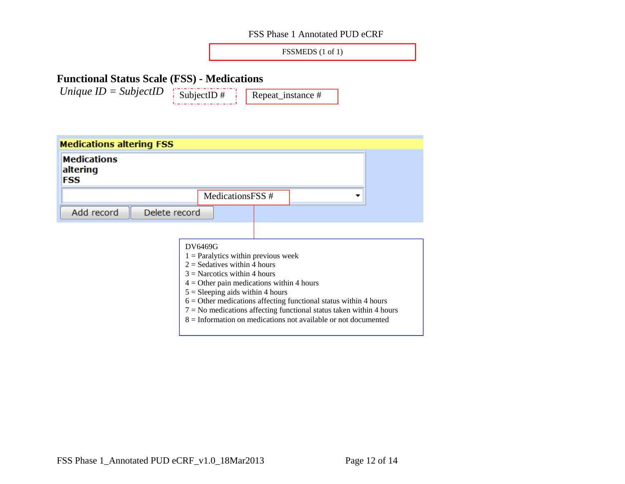FSSMEDS (1 of 1)

# **Functional Status Scale (FSS) - Medications**

*Unique ID = SubjectID*  $\frac{1}{\text{SubjectID}}$  SubjectID #

Repeat\_instance #

| <b>Medications altering FSS</b>       |               |         |                                                                  |                                                                                                                            |                                                                                                                                                                                                                 |  |
|---------------------------------------|---------------|---------|------------------------------------------------------------------|----------------------------------------------------------------------------------------------------------------------------|-----------------------------------------------------------------------------------------------------------------------------------------------------------------------------------------------------------------|--|
| <b>Medications</b><br>altering<br>FSS |               |         |                                                                  |                                                                                                                            |                                                                                                                                                                                                                 |  |
|                                       |               |         | MedicationsFSS#                                                  |                                                                                                                            |                                                                                                                                                                                                                 |  |
| Add record                            | Delete record |         |                                                                  |                                                                                                                            |                                                                                                                                                                                                                 |  |
|                                       |               | DV6469G | $2 =$ Sedatives within 4 hours<br>$3$ = Narcotics within 4 hours | $1$ = Paralytics within previous week<br>$4 =$ Other pain medications within 4 hours<br>$5 =$ Sleeping aids within 4 hours | $6 =$ Other medications affecting functional status within 4 hours<br>$7 = No$ medications affecting functional status taken within 4 hours<br>$8 =$ Information on medications not available or not documented |  |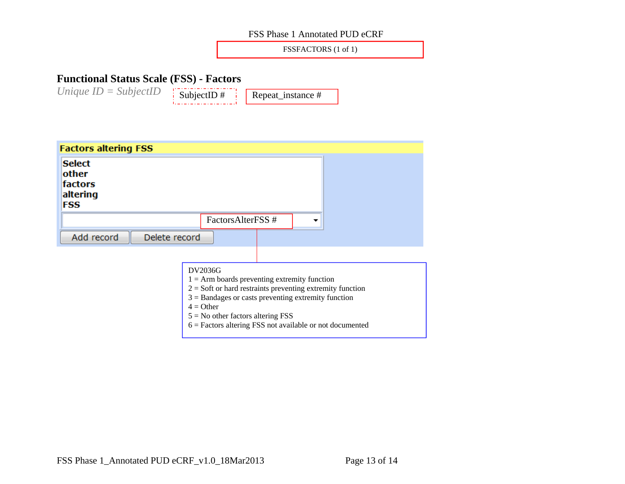FSSFACTORS (1 of 1)

# **Functional Status Scale (FSS) - Factors**

*Unique ID = SubjectID*  $\overline{\phantom{a}}$  SubjectID # Repeat\_instance #

| <b>Factors altering FSS</b><br><b>Select</b><br>other<br>factors<br>altering<br><b>FSS</b> |               |                        |                                                                                                                                                                                                                                                                             |  |  |
|--------------------------------------------------------------------------------------------|---------------|------------------------|-----------------------------------------------------------------------------------------------------------------------------------------------------------------------------------------------------------------------------------------------------------------------------|--|--|
|                                                                                            |               |                        | FactorsAlterFSS#                                                                                                                                                                                                                                                            |  |  |
| Add record                                                                                 | Delete record |                        |                                                                                                                                                                                                                                                                             |  |  |
|                                                                                            |               | DV2036G<br>$4 =$ Other | $1 =$ Arm boards preventing extremity function<br>$2 =$ Soft or hard restraints preventing extremity function<br>$3 =$ Bandages or casts preventing extremity function<br>$5 = No$ other factors altering FSS<br>$6$ = Factors altering FSS not available or not documented |  |  |